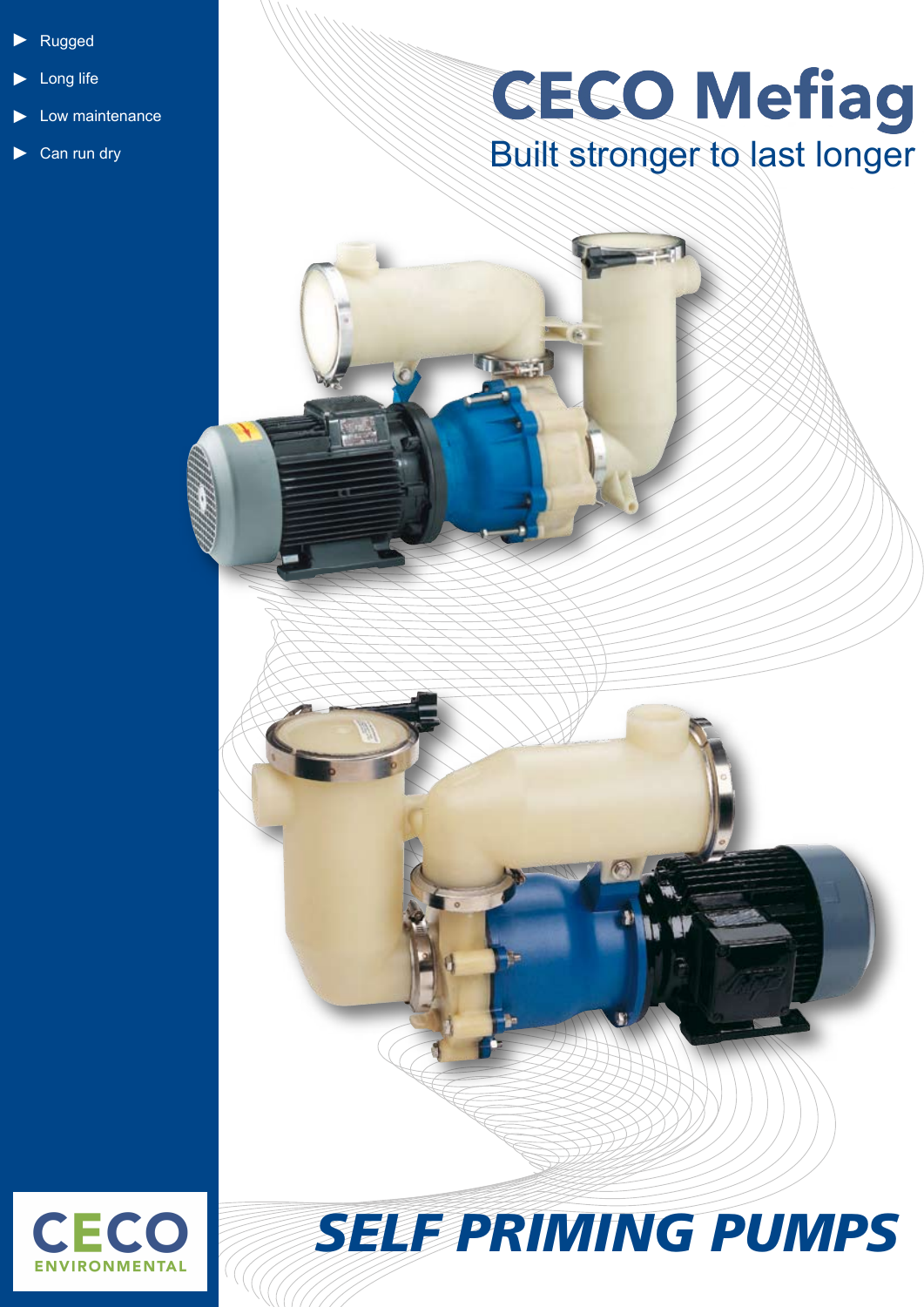- Rugged ►
- Long life ►
- Low maintenance ►
- Can run dry ►

## **GECO Mefiag** Built stronger to last longer